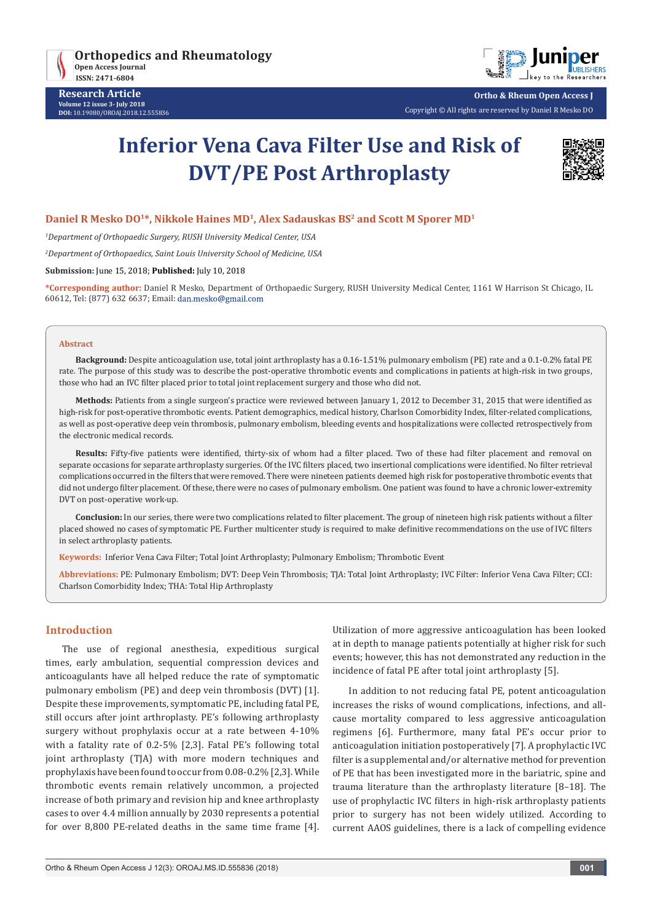



**Research Article Volume 12 issue 3- July 2018 DOI:** [10.19080/OROAJ.2018.12.55583](http://dx.doi.org/10.19080/OROAJ.2018.12.555836)6 **Ortho & Rheum Open Access J**

Copyright © All rights are reserved by Daniel R Mesko DO

# **Inferior Vena Cava Filter Use and Risk of DVT/PE Post Arthroplasty**



### **Daniel R Mesko DO1\*, Nikkole Haines MD1, Alex Sadauskas BS2 and Scott M Sporer MD1**

*1 Department of Orthopaedic Surgery, RUSH University Medical Center, USA*

*2 Department of Orthopaedics, Saint Louis University School of Medicine, USA*

**Submission:** June 15, 2018; **Published:** July 10, 2018

**\*Corresponding author:** Daniel R Mesko, Department of Orthopaedic Surgery, RUSH University Medical Center, 1161 W Harrison St Chicago, IL 60612, Tel: (877) 632 6637; Email:

#### **Abstract**

**Background:** Despite anticoagulation use, total joint arthroplasty has a 0.16-1.51% pulmonary embolism (PE) rate and a 0.1-0.2% fatal PE rate. The purpose of this study was to describe the post-operative thrombotic events and complications in patients at high-risk in two groups, those who had an IVC filter placed prior to total joint replacement surgery and those who did not.

**Methods:** Patients from a single surgeon's practice were reviewed between January 1, 2012 to December 31, 2015 that were identified as high-risk for post-operative thrombotic events. Patient demographics, medical history, Charlson Comorbidity Index, filter-related complications, as well as post-operative deep vein thrombosis, pulmonary embolism, bleeding events and hospitalizations were collected retrospectively from the electronic medical records.

**Results:** Fifty-five patients were identified, thirty-six of whom had a filter placed. Two of these had filter placement and removal on separate occasions for separate arthroplasty surgeries. Of the IVC filters placed, two insertional complications were identified. No filter retrieval complications occurred in the filters that were removed. There were nineteen patients deemed high risk for postoperative thrombotic events that did not undergo filter placement. Of these, there were no cases of pulmonary embolism. One patient was found to have a chronic lower-extremity DVT on post-operative work-up.

**Conclusion:** In our series, there were two complications related to filter placement. The group of nineteen high risk patients without a filter placed showed no cases of symptomatic PE. Further multicenter study is required to make definitive recommendations on the use of IVC filters in select arthroplasty patients.

**Keywords:** Inferior Vena Cava Filter; Total Joint Arthroplasty; Pulmonary Embolism; Thrombotic Event

**Abbreviations:** PE: Pulmonary Embolism; DVT: Deep Vein Thrombosis; TJA: Total Joint Arthroplasty; IVC Filter: Inferior Vena Cava Filter; CCI: Charlson Comorbidity Index; THA: Total Hip Arthroplasty

#### **Introduction**

The use of regional anesthesia, expeditious surgical times, early ambulation, sequential compression devices and anticoagulants have all helped reduce the rate of symptomatic pulmonary embolism (PE) and deep vein thrombosis (DVT) [1]. Despite these improvements, symptomatic PE, including fatal PE, still occurs after joint arthroplasty. PE's following arthroplasty surgery without prophylaxis occur at a rate between 4-10% with a fatality rate of 0.2-5% [2,3]. Fatal PE's following total joint arthroplasty (TJA) with more modern techniques and prophylaxis have been found to occur from 0.08-0.2% [2,3]. While thrombotic events remain relatively uncommon, a projected increase of both primary and revision hip and knee arthroplasty cases to over 4.4 million annually by 2030 represents a potential for over 8,800 PE-related deaths in the same time frame [4]. Utilization of more aggressive anticoagulation has been looked at in depth to manage patients potentially at higher risk for such events; however, this has not demonstrated any reduction in the incidence of fatal PE after total joint arthroplasty [5].

In addition to not reducing fatal PE, potent anticoagulation increases the risks of wound complications, infections, and allcause mortality compared to less aggressive anticoagulation regimens [6]. Furthermore, many fatal PE's occur prior to anticoagulation initiation postoperatively [7]. A prophylactic IVC filter is a supplemental and/or alternative method for prevention of PE that has been investigated more in the bariatric, spine and trauma literature than the arthroplasty literature [8–18]. The use of prophylactic IVC filters in high-risk arthroplasty patients prior to surgery has not been widely utilized. According to current AAOS guidelines, there is a lack of compelling evidence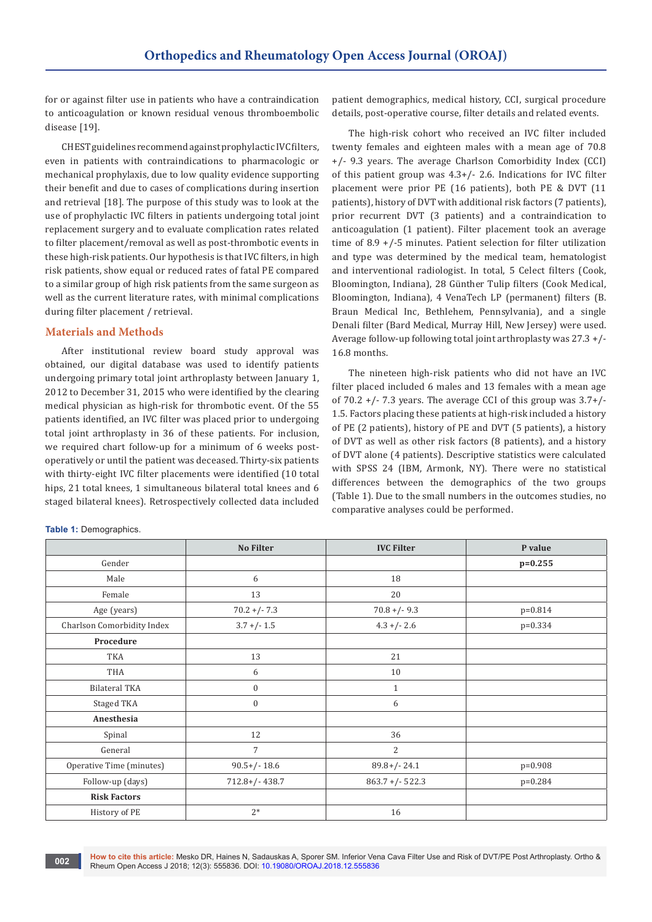for or against filter use in patients who have a contraindication to anticoagulation or known residual venous thromboembolic disease [19].

CHEST guidelines recommend against prophylactic IVC filters, even in patients with contraindications to pharmacologic or mechanical prophylaxis, due to low quality evidence supporting their benefit and due to cases of complications during insertion and retrieval [18]. The purpose of this study was to look at the use of prophylactic IVC filters in patients undergoing total joint replacement surgery and to evaluate complication rates related to filter placement/removal as well as post-thrombotic events in these high-risk patients. Our hypothesis is that IVC filters, in high risk patients, show equal or reduced rates of fatal PE compared to a similar group of high risk patients from the same surgeon as well as the current literature rates, with minimal complications during filter placement / retrieval.

### **Materials and Methods**

After institutional review board study approval was obtained, our digital database was used to identify patients undergoing primary total joint arthroplasty between January 1, 2012 to December 31, 2015 who were identified by the clearing medical physician as high-risk for thrombotic event. Of the 55 patients identified, an IVC filter was placed prior to undergoing total joint arthroplasty in 36 of these patients. For inclusion, we required chart follow-up for a minimum of 6 weeks postoperatively or until the patient was deceased. Thirty-six patients with thirty-eight IVC filter placements were identified (10 total hips, 21 total knees, 1 simultaneous bilateral total knees and 6 staged bilateral knees). Retrospectively collected data included

patient demographics, medical history, CCI, surgical procedure details, post-operative course, filter details and related events.

The high-risk cohort who received an IVC filter included twenty females and eighteen males with a mean age of 70.8 +/- 9.3 years. The average Charlson Comorbidity Index (CCI) of this patient group was 4.3+/- 2.6. Indications for IVC filter placement were prior PE (16 patients), both PE & DVT (11 patients), history of DVT with additional risk factors (7 patients), prior recurrent DVT (3 patients) and a contraindication to anticoagulation (1 patient). Filter placement took an average time of 8.9 +/-5 minutes. Patient selection for filter utilization and type was determined by the medical team, hematologist and interventional radiologist. In total, 5 Celect filters (Cook, Bloomington, Indiana), 28 Günther Tulip filters (Cook Medical, Bloomington, Indiana), 4 VenaTech LP (permanent) filters (B. Braun Medical Inc, Bethlehem, Pennsylvania), and a single Denali filter (Bard Medical, Murray Hill, New Jersey) were used. Average follow-up following total joint arthroplasty was 27.3 +/- 16.8 months.

The nineteen high-risk patients who did not have an IVC filter placed included 6 males and 13 females with a mean age of  $70.2 +/- 7.3$  years. The average CCI of this group was  $3.7+/-$ 1.5. Factors placing these patients at high-risk included a history of PE (2 patients), history of PE and DVT (5 patients), a history of DVT as well as other risk factors (8 patients), and a history of DVT alone (4 patients). Descriptive statistics were calculated with SPSS 24 (IBM, Armonk, NY). There were no statistical differences between the demographics of the two groups (Table 1). Due to the small numbers in the outcomes studies, no comparative analyses could be performed.

|                            | <b>No Filter</b> | <b>IVC Filter</b>  | P value   |
|----------------------------|------------------|--------------------|-----------|
| Gender                     |                  |                    | $p=0.255$ |
| Male                       | 6                | 18                 |           |
| Female                     | 13               | 20                 |           |
| Age (years)                | $70.2 + (-7.3)$  | $70.8 + (-9.3)$    | p=0.814   |
| Charlson Comorbidity Index | $3.7 + (-1.5)$   | $4.3 + (-2.6)$     | $p=0.334$ |
| Procedure                  |                  |                    |           |
| TKA                        | 13               | 21                 |           |
| THA                        | 6                | 10                 |           |
| <b>Bilateral TKA</b>       | $\boldsymbol{0}$ | $\mathbf{1}$       |           |
| Staged TKA                 | $\mathbf{0}$     | 6                  |           |
| Anesthesia                 |                  |                    |           |
| Spinal                     | 12               | 36                 |           |
| General                    | $\overline{7}$   | 2                  |           |
| Operative Time (minutes)   | $90.5+/- 18.6$   | $89.8+/- 24.1$     | $p=0.908$ |
| Follow-up (days)           | $712.8+/- 438.7$ | $863.7 + (-522.3)$ | $p=0.284$ |
| <b>Risk Factors</b>        |                  |                    |           |
| History of PE              | $2*$             | 16                 |           |

**Table 1:** Demographics.

**How to cite this article:** Mesko DR, Haines N, Sadauskas A, Sporer SM. Inferior Vena Cava Filter Use and Risk of DVT/PE Post Arthroplasty. Ortho & **Row to che this article:** Mesko DR, Halfles N, Sadauskas A, Sporer SM. Interior ver<br>Rheum Open Access J 2018; 12(3): 555836. DOI: <u>[10.19080/OROAJ.2018.12.555836](http://dx.doi.org/10.19080/OROAJ.2018.12.555836)</u>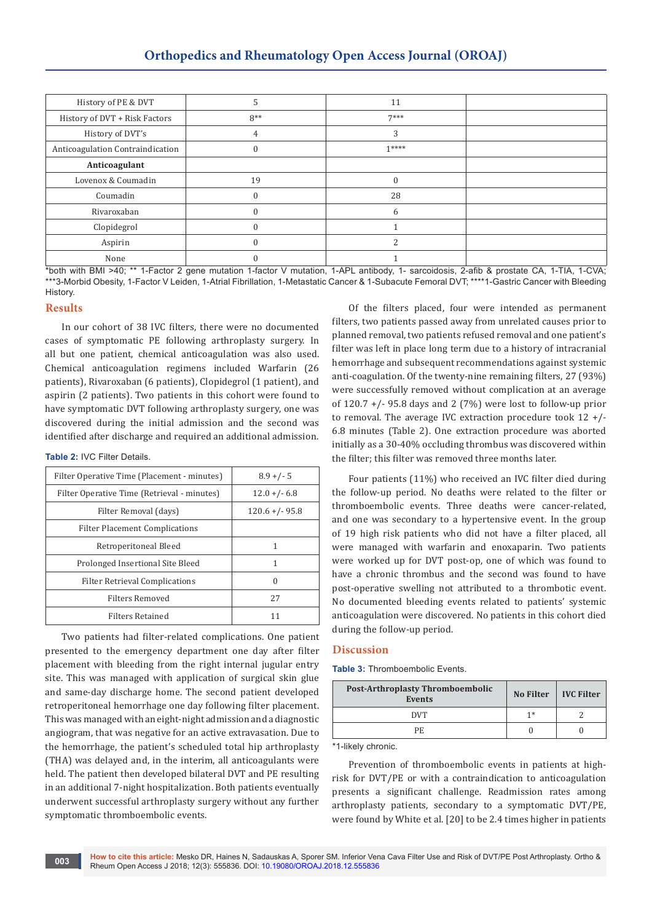| History of PE & DVT              |       | 11     |  |
|----------------------------------|-------|--------|--|
| History of DVT + Risk Factors    | $8**$ | $7***$ |  |
| History of DVT's                 |       |        |  |
| Anticoagulation Contraindication | 0     | $1***$ |  |
| Anticoagulant                    |       |        |  |
| Lovenox & Coumadin               | 19    | C      |  |
| Coumadin                         |       | 28     |  |
| Rivaroxaban                      |       | h      |  |
| Clopidegrol                      |       |        |  |
| Aspirin                          |       |        |  |
| None                             |       |        |  |

\*both with BMI >40; \*\* 1-Factor 2 gene mutation 1-factor V mutation, 1-APL antibody, 1- sarcoidosis, 2-afib & prostate CA, 1-TIA, 1-CVA; \*\*\*3-Morbid Obesity, 1-Factor V Leiden, 1-Atrial Fibrillation, 1-Metastatic Cancer & 1-Subacute Femoral DVT; \*\*\*\*1-Gastric Cancer with Bleeding History.

# **Results**

In our cohort of 38 IVC filters, there were no documented cases of symptomatic PE following arthroplasty surgery. In all but one patient, chemical anticoagulation was also used. Chemical anticoagulation regimens included Warfarin (26 patients), Rivaroxaban (6 patients), Clopidegrol (1 patient), and aspirin (2 patients). Two patients in this cohort were found to have symptomatic DVT following arthroplasty surgery, one was discovered during the initial admission and the second was identified after discharge and required an additional admission.

**Table 2:** IVC Filter Details.

| $8.9 +/- 5$       |
|-------------------|
| $12.0 + (-6.8)$   |
| $120.6 + (-95.8)$ |
|                   |
|                   |
| 1                 |
| $\Omega$          |
| 27                |
| 11                |
|                   |

Two patients had filter-related complications. One patient presented to the emergency department one day after filter placement with bleeding from the right internal jugular entry site. This was managed with application of surgical skin glue and same-day discharge home. The second patient developed retroperitoneal hemorrhage one day following filter placement. This was managed with an eight-night admission and a diagnostic angiogram, that was negative for an active extravasation. Due to the hemorrhage, the patient's scheduled total hip arthroplasty (THA) was delayed and, in the interim, all anticoagulants were held. The patient then developed bilateral DVT and PE resulting in an additional 7-night hospitalization. Both patients eventually underwent successful arthroplasty surgery without any further symptomatic thromboembolic events.

Of the filters placed, four were intended as permanent filters, two patients passed away from unrelated causes prior to planned removal, two patients refused removal and one patient's filter was left in place long term due to a history of intracranial hemorrhage and subsequent recommendations against systemic anti-coagulation. Of the twenty-nine remaining filters, 27 (93%) were successfully removed without complication at an average of  $120.7$  +/- 95.8 days and 2 (7%) were lost to follow-up prior to removal. The average IVC extraction procedure took 12 +/- 6.8 minutes (Table 2). One extraction procedure was aborted initially as a 30-40% occluding thrombus was discovered within the filter; this filter was removed three months later.

Four patients (11%) who received an IVC filter died during the follow-up period. No deaths were related to the filter or thromboembolic events. Three deaths were cancer-related, and one was secondary to a hypertensive event. In the group of 19 high risk patients who did not have a filter placed, all were managed with warfarin and enoxaparin. Two patients were worked up for DVT post-op, one of which was found to have a chronic thrombus and the second was found to have post-operative swelling not attributed to a thrombotic event. No documented bleeding events related to patients' systemic anticoagulation were discovered. No patients in this cohort died during the follow-up period.

#### **Discussion**

**Table 3:** Thromboembolic Events.

| <b>Post-Arthroplasty Thromboembolic</b><br><b>Events</b> | No Filter | IVC Filter |
|----------------------------------------------------------|-----------|------------|
| <b>DVT</b>                                               | 1 *       |            |
| PF.                                                      |           |            |

\*1-likely chronic.

Prevention of thromboembolic events in patients at highrisk for DVT/PE or with a contraindication to anticoagulation presents a significant challenge. Readmission rates among arthroplasty patients, secondary to a symptomatic DVT/PE, were found by White et al. [20] to be 2.4 times higher in patients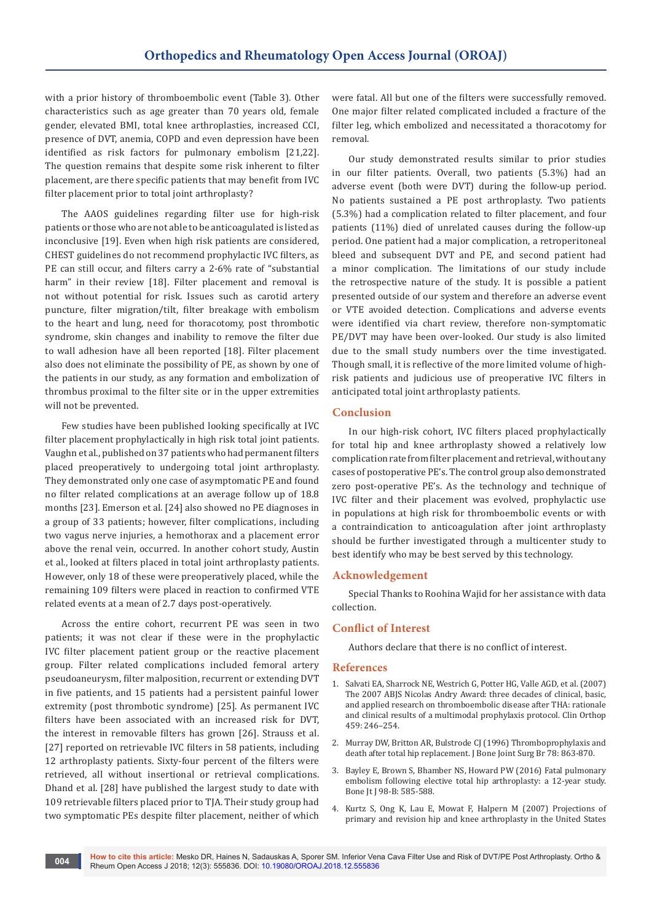with a prior history of thromboembolic event (Table 3). Other characteristics such as age greater than 70 years old, female gender, elevated BMI, total knee arthroplasties, increased CCI, presence of DVT, anemia, COPD and even depression have been identified as risk factors for pulmonary embolism [21,22]. The question remains that despite some risk inherent to filter placement, are there specific patients that may benefit from IVC filter placement prior to total joint arthroplasty?

The AAOS guidelines regarding filter use for high-risk patients or those who are not able to be anticoagulated is listed as inconclusive [19]. Even when high risk patients are considered, CHEST guidelines do not recommend prophylactic IVC filters, as PE can still occur, and filters carry a 2-6% rate of "substantial harm" in their review [18]. Filter placement and removal is not without potential for risk. Issues such as carotid artery puncture, filter migration/tilt, filter breakage with embolism to the heart and lung, need for thoracotomy, post thrombotic syndrome, skin changes and inability to remove the filter due to wall adhesion have all been reported [18]. Filter placement also does not eliminate the possibility of PE, as shown by one of the patients in our study, as any formation and embolization of thrombus proximal to the filter site or in the upper extremities will not be prevented.

Few studies have been published looking specifically at IVC filter placement prophylactically in high risk total joint patients. Vaughn et al., published on 37 patients who had permanent filters placed preoperatively to undergoing total joint arthroplasty. They demonstrated only one case of asymptomatic PE and found no filter related complications at an average follow up of 18.8 months [23]. Emerson et al. [24] also showed no PE diagnoses in a group of 33 patients; however, filter complications, including two vagus nerve injuries, a hemothorax and a placement error above the renal vein, occurred. In another cohort study, Austin et al., looked at filters placed in total joint arthroplasty patients. However, only 18 of these were preoperatively placed, while the remaining 109 filters were placed in reaction to confirmed VTE related events at a mean of 2.7 days post-operatively.

Across the entire cohort, recurrent PE was seen in two patients; it was not clear if these were in the prophylactic IVC filter placement patient group or the reactive placement group. Filter related complications included femoral artery pseudoaneurysm, filter malposition, recurrent or extending DVT in five patients, and 15 patients had a persistent painful lower extremity (post thrombotic syndrome) [25]. As permanent IVC filters have been associated with an increased risk for DVT, the interest in removable filters has grown [26]. Strauss et al. [27] reported on retrievable IVC filters in 58 patients, including 12 arthroplasty patients. Sixty-four percent of the filters were retrieved, all without insertional or retrieval complications. Dhand et al. [28] have published the largest study to date with 109 retrievable filters placed prior to TJA. Their study group had two symptomatic PEs despite filter placement, neither of which

were fatal. All but one of the filters were successfully removed. One major filter related complicated included a fracture of the filter leg, which embolized and necessitated a thoracotomy for removal.

Our study demonstrated results similar to prior studies in our filter patients. Overall, two patients (5.3%) had an adverse event (both were DVT) during the follow-up period. No patients sustained a PE post arthroplasty. Two patients (5.3%) had a complication related to filter placement, and four patients (11%) died of unrelated causes during the follow-up period. One patient had a major complication, a retroperitoneal bleed and subsequent DVT and PE, and second patient had a minor complication. The limitations of our study include the retrospective nature of the study. It is possible a patient presented outside of our system and therefore an adverse event or VTE avoided detection. Complications and adverse events were identified via chart review, therefore non-symptomatic PE/DVT may have been over-looked. Our study is also limited due to the small study numbers over the time investigated. Though small, it is reflective of the more limited volume of highrisk patients and judicious use of preoperative IVC filters in anticipated total joint arthroplasty patients.

## **Conclusion**

In our high-risk cohort, IVC filters placed prophylactically for total hip and knee arthroplasty showed a relatively low complication rate from filter placement and retrieval, without any cases of postoperative PE's. The control group also demonstrated zero post-operative PE's. As the technology and technique of IVC filter and their placement was evolved, prophylactic use in populations at high risk for thromboembolic events or with a contraindication to anticoagulation after joint arthroplasty should be further investigated through a multicenter study to best identify who may be best served by this technology.

## **Acknowledgement**

Special Thanks to Roohina Wajid for her assistance with data collection.

#### **Conflict of Interest**

Authors declare that there is no conflict of interest.

#### **References**

- 1. [Salvati EA, Sharrock NE, Westrich G, Potter HG, Valle AGD, et al. \(2007\)](https://www.ncbi.nlm.nih.gov/pubmed/17545765)  [The 2007 ABJS Nicolas Andry Award: three decades of clinical, basic,](https://www.ncbi.nlm.nih.gov/pubmed/17545765)  [and applied research on thromboembolic disease after THA: rationale](https://www.ncbi.nlm.nih.gov/pubmed/17545765)  [and clinical results of a multimodal prophylaxis protocol. Clin Orthop](https://www.ncbi.nlm.nih.gov/pubmed/17545765)  [459: 246–254.](https://www.ncbi.nlm.nih.gov/pubmed/17545765)
- 2. Murray DW, Britton AR, Bulstrode CJ (1996) Thromboprophylaxis and [death after total hip replacement. J Bone Joint Surg Br 78: 863-870.](https://www.ncbi.nlm.nih.gov/pubmed/8950998)
- 3. [Bayley E, Brown S, Bhamber NS, Howard PW \(2016\) Fatal pulmonary](https://www.ncbi.nlm.nih.gov/pubmed/27143726)  [embolism following elective total hip arthroplasty: a 12-year study.](https://www.ncbi.nlm.nih.gov/pubmed/27143726)  [Bone Jt J 98-B: 585-588.](https://www.ncbi.nlm.nih.gov/pubmed/27143726)
- 4. [Kurtz S, Ong K, Lau E, Mowat F, Halpern M \(2007\) Projections of](https://www.ncbi.nlm.nih.gov/pubmed/17403800)  [primary and revision hip and knee arthroplasty in the United States](https://www.ncbi.nlm.nih.gov/pubmed/17403800)